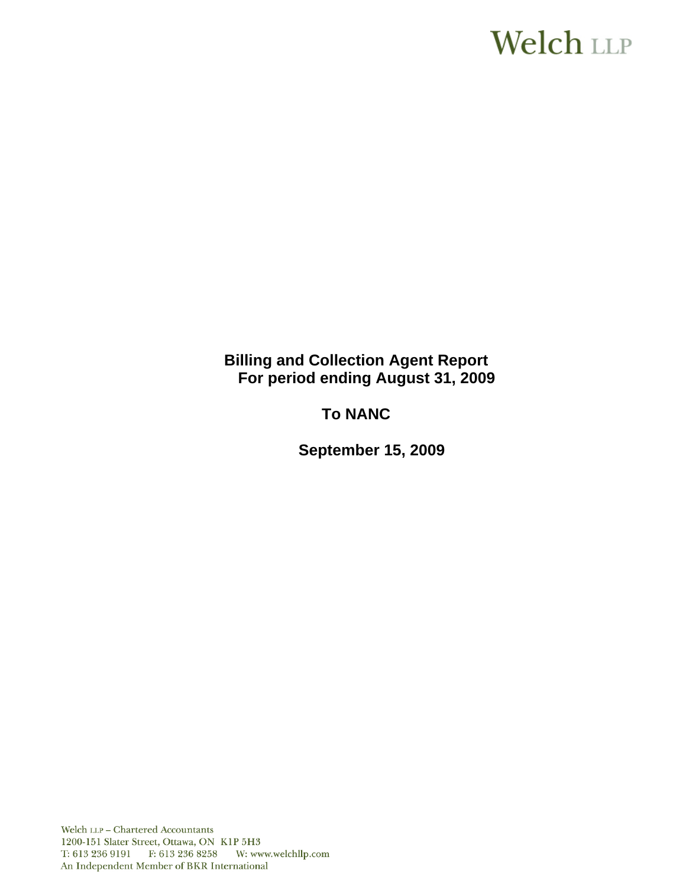# Welch LLP

**Billing and Collection Agent Report For period ending August 31, 2009**

**To NANC** 

 **September 15, 2009**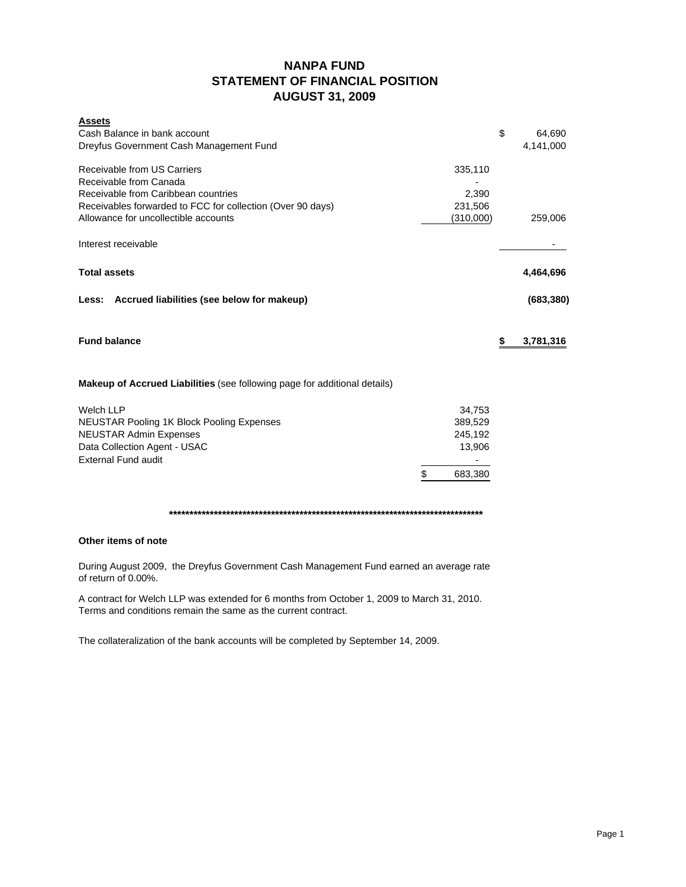## **NANPA FUND STATEMENT OF FINANCIAL POSITION AUGUST 31, 2009**

| <b>Assets</b><br>Cash Balance in bank account                                                      |                  | \$<br>64,690    |
|----------------------------------------------------------------------------------------------------|------------------|-----------------|
| Dreyfus Government Cash Management Fund                                                            |                  | 4,141,000       |
| Receivable from US Carriers                                                                        | 335,110          |                 |
| Receivable from Canada                                                                             |                  |                 |
| Receivable from Caribbean countries                                                                | 2,390<br>231,506 |                 |
| Receivables forwarded to FCC for collection (Over 90 days)<br>Allowance for uncollectible accounts | (310,000)        | 259,006         |
| Interest receivable                                                                                |                  |                 |
| <b>Total assets</b>                                                                                |                  | 4,464,696       |
| Accrued liabilities (see below for makeup)<br>Less:                                                |                  | (683, 380)      |
| <b>Fund balance</b>                                                                                |                  | \$<br>3,781,316 |
| Makeup of Accrued Liabilities (see following page for additional details)                          |                  |                 |
| <b>Welch LLP</b>                                                                                   | 34,753           |                 |
| <b>NEUSTAR Pooling 1K Block Pooling Expenses</b>                                                   | 389,529          |                 |
| <b>NEUSTAR Admin Expenses</b>                                                                      | 245,192          |                 |
| Data Collection Agent - USAC<br><b>External Fund audit</b>                                         | 13,906           |                 |
|                                                                                                    | \$<br>683,380    |                 |
|                                                                                                    |                  |                 |

#### **Other items of note**

During August 2009, the Dreyfus Government Cash Management Fund earned an average rate of return of 0.00%.

A contract for Welch LLP was extended for 6 months from October 1, 2009 to March 31, 2010. Terms and conditions remain the same as the current contract.

The collateralization of the bank accounts will be completed by September 14, 2009.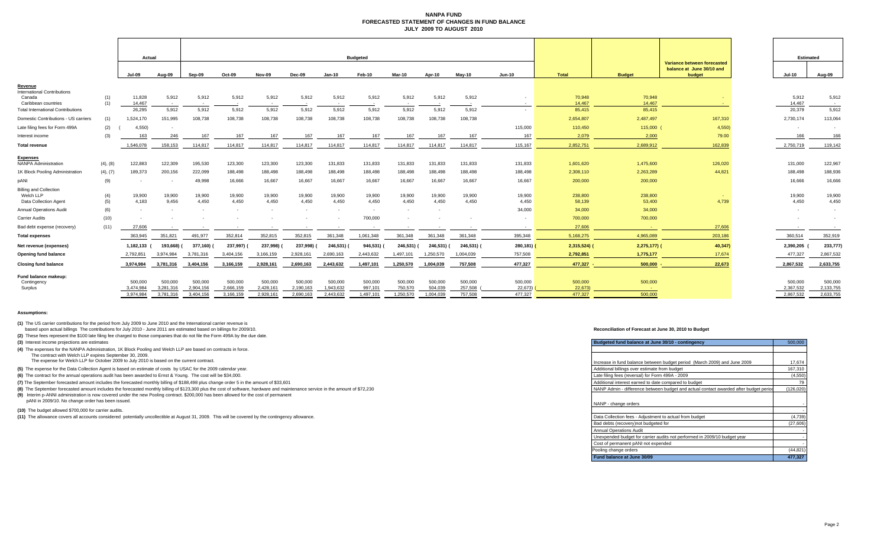#### **NANPA FUND FORECASTED STATEMENT OF CHANGES IN FUND BALANCEJULY 2009 TO AUGUST 2010**

|                                                                     |            | Actual                            |                                   | <b>Budgeted</b>                   |                                   |                                   |                                   |                                   |                                 |                                 |                                 |                               |                               | <b>Estimated</b>              |                                       |                                                                    |                                   |                                   |
|---------------------------------------------------------------------|------------|-----------------------------------|-----------------------------------|-----------------------------------|-----------------------------------|-----------------------------------|-----------------------------------|-----------------------------------|---------------------------------|---------------------------------|---------------------------------|-------------------------------|-------------------------------|-------------------------------|---------------------------------------|--------------------------------------------------------------------|-----------------------------------|-----------------------------------|
|                                                                     |            | Jul-09                            | Aug-09                            | Sep-09                            | Oct-09                            | Nov-09                            | Dec-09                            | Jan-10                            | Feb-10                          | Mar-10                          | Apr-10                          | May-10                        | <b>Jun-10</b>                 | Total                         | <b>Budget</b>                         | Variance between forecasted<br>balance at June 30/10 and<br>budget | Jul-10                            | Aug-09                            |
| Revenue<br><b>International Contributions</b>                       |            |                                   |                                   |                                   |                                   |                                   |                                   |                                   |                                 |                                 |                                 |                               |                               |                               |                                       |                                                                    |                                   |                                   |
| Canada<br>Caribbean countries                                       | (1)<br>(1) | 11,828<br>14,467                  | 5,912                             | 5,912<br>$\overline{\phantom{a}}$ | 5,912                             | 5,912                             | 5,912                             | 5,912                             | 5,912                           | 5,912                           | 5,912                           | 5,912                         |                               | 70,948<br>14,467              | 70,948<br>14,467                      |                                                                    | 5,912<br>14,467                   | 5,912                             |
| <b>Total International Contributions</b>                            |            | 26,295                            | 5,912                             | 5,912                             | 5,912                             | 5,912                             | 5,912                             | 5,912                             | 5,912                           | 5.912                           | 5,912                           | 5,912                         |                               | 85,415                        | 85,415                                |                                                                    | 20,379                            | 5,912                             |
| Domestic Contributions - US carriers                                | (1)        | 1,524,170                         | 151,995                           | 108,738                           | 108,738                           | 108,738                           | 108,738                           | 108,738                           | 108,738                         | 108,738                         | 108,738                         | 108,738                       |                               | 2,654,807                     | 2,487,497                             | 167,310                                                            | 2,730,174                         | 113,064                           |
| Late filing fees for Form 499A                                      | (2)        | 4,550)                            |                                   |                                   |                                   |                                   |                                   |                                   |                                 |                                 |                                 |                               | 115,000                       | 110,450                       | 115,000                               | 4,550                                                              |                                   | $\sim$                            |
| Interest income                                                     | (3)        | 163                               | 246                               | 167                               | 167                               | 167                               | 167                               | 167                               | 167                             | 167                             | 167                             | 167                           | 167                           | 2,079                         | 2,000                                 | 79.00                                                              | 166                               | 166                               |
| <b>Total revenue</b>                                                |            | 1,546,078                         | 158,153                           | 114,817                           | 114,817                           | 114,817                           | 114,817                           | 114,817                           | 114,817                         | 114,817                         | 114,817                         | 114,817                       | 115,167                       | 2,852,751                     | 2,689,912                             | 162,839                                                            | 2,750,719                         | 119,142                           |
| Expenses<br><b>NANPA Administration</b>                             | (4), (8)   | 122,883                           | 122,309                           | 195,530                           | 123,300                           | 123,300                           | 123,300                           | 131,833                           | 131,833                         | 131,833                         | 131,833                         | 131,833                       | 131,833                       | 1,601,620                     | 1,475,600                             | 126,020                                                            | 131,000                           | 122,967                           |
| 1K Block Pooling Administration                                     | (4), (7)   | 189,373                           | 200,156                           | 222,099                           | 188,498                           | 188,498                           | 188,498                           | 188,498                           | 188,498                         | 188,498                         | 188,498                         | 188,498                       | 188,498                       | 2,308,110                     | 2,263,289                             | 44,821                                                             | 188,498                           | 188,936                           |
| pANI                                                                | (9)        |                                   |                                   | 49,998                            | 16,666                            | 16,667                            | 16,667                            | 16,667                            | 16,667                          | 16,667                          | 16,667                          | 16.667                        | 16.667                        | 200,000                       | 200,000                               |                                                                    | 16.666                            | 16,666                            |
| <b>Billing and Collection</b><br>Welch LLP<br>Data Collection Agent | (4)<br>(5) | 19,900<br>4,183                   | 19,900<br>9,456                   | 19,900<br>4,450                   | 19,900<br>4,450                   | 19,900<br>4.450                   | 19,900<br>4,450                   | 19,900<br>4,450                   | 19,900<br>4,450                 | 19,900<br>4.450                 | 19,900<br>4,450                 | 19,900<br>4.450               | 19,900<br>4,450               | 238,800<br>58,139             | 238,800<br>53,400                     | 4,739                                                              | 19,900<br>4,450                   | 19,900<br>4,450                   |
| <b>Annual Operations Audit</b>                                      | (6)        | . .                               |                                   |                                   |                                   |                                   |                                   |                                   | $\sim$                          | $\sim$                          | $\sim$                          |                               | 34,000                        | 34,000                        | 34,000                                |                                                                    |                                   | $\sim$                            |
| <b>Carrier Audits</b>                                               | (10)       |                                   |                                   |                                   |                                   |                                   |                                   |                                   | 700,000                         |                                 |                                 | $\sim$                        | $\overline{\phantom{a}}$      | 700,000                       | 700,000                               |                                                                    |                                   | $\sim$                            |
| Bad debt expense (recovery)                                         | (11)       | 27,606                            |                                   |                                   |                                   |                                   |                                   |                                   |                                 |                                 |                                 |                               | $\sim$                        | 27,606                        | <b>Section</b>                        | 27,606                                                             |                                   |                                   |
| <b>Total expenses</b>                                               |            | 363.945                           | 351,821                           | 491,977                           | 352,814                           | 352,815                           | 352,815                           | 361,348                           | 1,061,348                       | 361,348                         | 361,348                         | 361,348                       | 395,348                       | 5,168,275                     | 4,965,089                             | 203,186                                                            | 360,514                           | 352,919                           |
| Net revenue (expenses)                                              |            | 1,182,133                         | 193,668) (                        | 377,160)                          | 237,997) (                        | 237,998)                          | 237,998)                          | 246,531)                          | 946,531) (                      | 246,531) (                      | 246,531) (                      | 246,531) (                    | 280,181) (                    | $2,315,524$ (                 | $2,275,177$ ) (                       | 40,347)                                                            | 2,390,205 (                       | 233,777)                          |
| Opening fund balance                                                |            | 2,792,851                         | 3,974,984                         | 3,781,316                         | 3,404,156                         | 3,166,159                         | 2,928,161                         | 2,690,163                         | 2,443,632                       | 1,497,101                       | 1,250,570                       | 1,004,039                     | 757,508                       | 2,792,851                     | 1,775,177                             | 17,674                                                             | 477,327                           | 2,867,532                         |
| <b>Closing fund balance</b>                                         |            | 3,974,984                         | 3,781,316                         | 3,404,156                         | 3,166,159                         | 2,928,161                         | 2,690,163                         | 2,443,632                         | 1,497,101                       | 1,250,570                       | 1,004,039                       | 757,508                       | 477,327                       | 477,327 -                     | $500,000 -$                           | 22,673                                                             | 2,867,532                         | 2,633,755                         |
| Fund balance makeup:<br>Contingency<br>Surplus                      |            | 500,000<br>3,474,984<br>3,974,984 | 500,000<br>3.281.316<br>3,781,316 | 500,000<br>2,904,156<br>3,404,156 | 500,000<br>2,666,159<br>3,166,159 | 500,000<br>2,428,161<br>2,928,161 | 500,000<br>2,190,163<br>2,690,163 | 500,000<br>1,943,632<br>2,443,632 | 500,000<br>997.101<br>1,497,101 | 500,000<br>750,570<br>1,250,570 | 500,000<br>504.039<br>1,004,039 | 500,000<br>257,508<br>757,508 | 500,000<br>22,673)<br>477,327 | 500,000<br>22,673)<br>477.327 | 500,000<br><b>Contract</b><br>500,000 |                                                                    | 500,000<br>2,367,532<br>2,867,532 | 500,000<br>2,133,755<br>2,633,755 |
|                                                                     |            |                                   |                                   |                                   |                                   |                                   |                                   |                                   |                                 |                                 |                                 |                               |                               |                               |                                       |                                                                    |                                   |                                   |

#### **Assumptions:**

**(1)** The US carrier contributions for the period from July 2009 to June 2010 and the International carrier revenue is

based upon actual billings The contributions for July 2010 - June 2011 are estimated based on billings for 2009/10.

**(2)** These fees represent the \$100 late filing fee charged to those companies that do not file the Form 499A by the due date.

**(3)** Interest income projections are estimates

**(4)** The expenses for the NANPA Administration, 1K Block Pooling and Welch LLP are based on contracts in force. The contract with Welch LLP expires September 30, 2009.

The expense for Welch LLP for October 2009 to July 2010 is based on the current contract.

**(5)** The expense for the Data Collection Agent is based on estimate of costs by USAC for the 2009 calendar year.

**(6)** The contract for the annual operations audit has been awarded to Ernst & Young. The cost will be \$34,000.

(7) The September forecasted amount includes the forecasted monthly billing of \$188,498 plus change order 5 in the amount of \$33,601

(8) The September forecasted amount includes the forecasted monthly billing of \$123,300 plus the cost of software, hardware and maintenance service in the amount of \$72,230

**(9)** Interim p-ANNI administration is now covered under the new Pooling contract. \$200,000 has been allowed for the cost of permanent

pANI in 2009/10. No change order has been issued.

**(10)** The budget allowed \$700,000 for carrier audits. -

(11) The allowance covers all accounts considered potentially uncollectible at August 31, 2009. This will be covered by the contingency allowance.

#### **Reconciliation of Forecast at June 30, 2010 to Budget**

| Budgeted fund balance at June 30/10 - contingency                                     |            |  |  |  |  |  |  |
|---------------------------------------------------------------------------------------|------------|--|--|--|--|--|--|
|                                                                                       |            |  |  |  |  |  |  |
|                                                                                       |            |  |  |  |  |  |  |
| Increase in fund balance between budget period (March 2009) and June 2009             | 17,674     |  |  |  |  |  |  |
| Additional billings over estimate from budget                                         | 167,310    |  |  |  |  |  |  |
| Late filing fees (reversal) for Form 499A - 2009                                      | (4, 550)   |  |  |  |  |  |  |
| Additional interest earned to date compared to budget                                 | 79         |  |  |  |  |  |  |
| NANP Admin - difference between budget and actual contact awarded after budget period | (126, 020) |  |  |  |  |  |  |
|                                                                                       |            |  |  |  |  |  |  |
| NANP - change orders                                                                  |            |  |  |  |  |  |  |
|                                                                                       |            |  |  |  |  |  |  |
| Data Collection fees - Adjustment to actual from budget                               | (4, 739)   |  |  |  |  |  |  |
| Bad debts (recovery) not budgeted for                                                 | (27, 606)  |  |  |  |  |  |  |
| <b>Annual Operations Audit</b>                                                        |            |  |  |  |  |  |  |
| Unexpended budget for carrier audits not performed in 2009/10 budget year             |            |  |  |  |  |  |  |
| Cost of permanent pANI not expended                                                   |            |  |  |  |  |  |  |
| Pooling change orders                                                                 | (44, 821)  |  |  |  |  |  |  |
| Fund balance at June 30/09                                                            | 477.327    |  |  |  |  |  |  |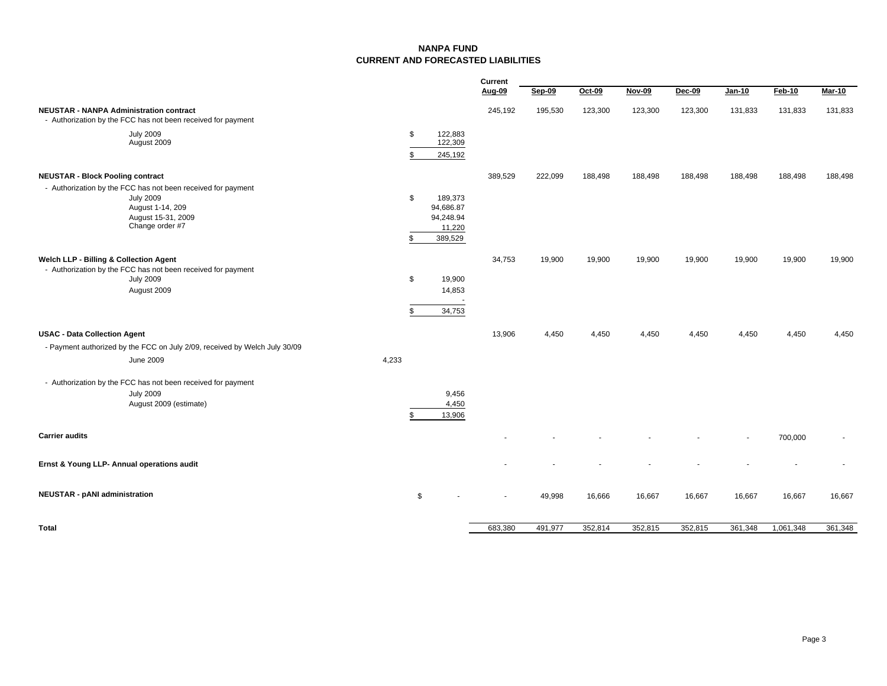#### **NANPA FUNDCURRENT AND FORECASTED LIABILITIES**

|                                                                                                                                               |          |                                                        | Current |         |         |         |         |                          |           |                          |
|-----------------------------------------------------------------------------------------------------------------------------------------------|----------|--------------------------------------------------------|---------|---------|---------|---------|---------|--------------------------|-----------|--------------------------|
|                                                                                                                                               |          |                                                        | Aug-09  | Sep-09  | Oct-09  | Nov-09  | Dec-09  | <b>Jan-10</b>            | Feb-10    | Mar-10                   |
| <b>NEUSTAR - NANPA Administration contract</b><br>- Authorization by the FCC has not been received for payment                                |          |                                                        | 245,192 | 195,530 | 123,300 | 123,300 | 123,300 | 131,833                  | 131,833   | 131,833                  |
| <b>July 2009</b><br>August 2009                                                                                                               | \$<br>\$ | 122,883<br>122,309<br>245,192                          |         |         |         |         |         |                          |           |                          |
|                                                                                                                                               |          |                                                        |         |         |         |         |         |                          |           |                          |
| <b>NEUSTAR - Block Pooling contract</b>                                                                                                       |          |                                                        | 389,529 | 222,099 | 188,498 | 188,498 | 188,498 | 188,498                  | 188,498   | 188,498                  |
| - Authorization by the FCC has not been received for payment<br><b>July 2009</b><br>August 1-14, 209<br>August 15-31, 2009<br>Change order #7 | \$<br>\$ | 189,373<br>94,686.87<br>94,248.94<br>11,220<br>389,529 |         |         |         |         |         |                          |           |                          |
| Welch LLP - Billing & Collection Agent<br>- Authorization by the FCC has not been received for payment                                        |          |                                                        | 34,753  | 19,900  | 19,900  | 19,900  | 19,900  | 19,900                   | 19,900    | 19,900                   |
| <b>July 2009</b><br>August 2009                                                                                                               | \$       | 19,900<br>14,853                                       |         |         |         |         |         |                          |           |                          |
|                                                                                                                                               | \$       | 34,753                                                 |         |         |         |         |         |                          |           |                          |
| <b>USAC - Data Collection Agent</b>                                                                                                           |          |                                                        | 13,906  | 4,450   | 4,450   | 4,450   | 4,450   | 4,450                    | 4,450     | 4,450                    |
| - Payment authorized by the FCC on July 2/09, received by Welch July 30/09                                                                    |          |                                                        |         |         |         |         |         |                          |           |                          |
| <b>June 2009</b>                                                                                                                              | 4,233    |                                                        |         |         |         |         |         |                          |           |                          |
| - Authorization by the FCC has not been received for payment                                                                                  |          |                                                        |         |         |         |         |         |                          |           |                          |
| <b>July 2009</b>                                                                                                                              |          | 9,456                                                  |         |         |         |         |         |                          |           |                          |
| August 2009 (estimate)                                                                                                                        | \$       | 4,450<br>13,906                                        |         |         |         |         |         |                          |           |                          |
|                                                                                                                                               |          |                                                        |         |         |         |         |         |                          |           |                          |
| <b>Carrier audits</b>                                                                                                                         |          |                                                        |         |         |         |         |         | $\overline{\phantom{a}}$ | 700,000   | $\overline{\phantom{a}}$ |
| Ernst & Young LLP- Annual operations audit                                                                                                    |          |                                                        |         |         |         |         |         |                          |           |                          |
| <b>NEUSTAR - pANI administration</b>                                                                                                          | \$       |                                                        |         | 49,998  | 16,666  | 16,667  | 16,667  | 16,667                   | 16,667    | 16,667                   |
| <b>Total</b>                                                                                                                                  |          |                                                        | 683,380 | 491,977 | 352,814 | 352,815 | 352,815 | 361,348                  | 1,061,348 | 361,348                  |